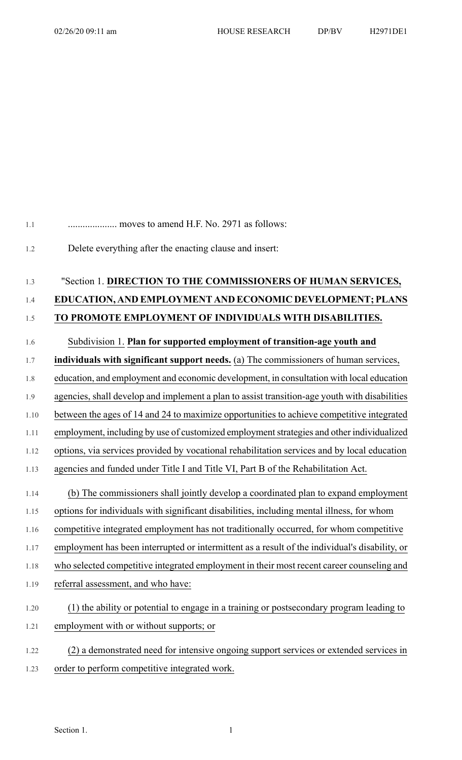## 1.1 .................... moves to amend H.F. No. 2971 as follows:

1.2 Delete everything after the enacting clause and insert:

## 1.3 "Section 1. **DIRECTION TO THE COMMISSIONERS OF HUMAN SERVICES,** 1.4 **EDUCATION, AND EMPLOYMENT AND ECONOMIC DEVELOPMENT; PLANS** 1.5 **TO PROMOTE EMPLOYMENT OF INDIVIDUALS WITH DISABILITIES.**

## 1.6 Subdivision 1. **Plan for supported employment of transition-age youth and**

- 1.7 **individuals with significant support needs.** (a) The commissioners of human services,
- 1.8 education, and employment and economic development, in consultation with local education
- 1.9 agencies, shall develop and implement a plan to assist transition-age youth with disabilities
- 1.10 between the ages of 14 and 24 to maximize opportunities to achieve competitive integrated
- 1.11 employment, including by use of customized employmentstrategies and other individualized
- 1.12 options, via services provided by vocational rehabilitation services and by local education
- 1.13 agencies and funded under Title I and Title VI, Part B of the Rehabilitation Act.
- 1.14 (b) The commissioners shall jointly develop a coordinated plan to expand employment
- 1.15 options for individuals with significant disabilities, including mental illness, for whom
- 1.16 competitive integrated employment has not traditionally occurred, for whom competitive
- 1.17 employment has been interrupted or intermittent as a result of the individual's disability, or

1.18 who selected competitive integrated employment in their most recent career counseling and

1.19 referral assessment, and who have:

## 1.20 (1) the ability or potential to engage in a training or postsecondary program leading to

- 1.21 employment with or without supports; or
- 1.22 (2) a demonstrated need for intensive ongoing support services or extended services in 1.23 order to perform competitive integrated work.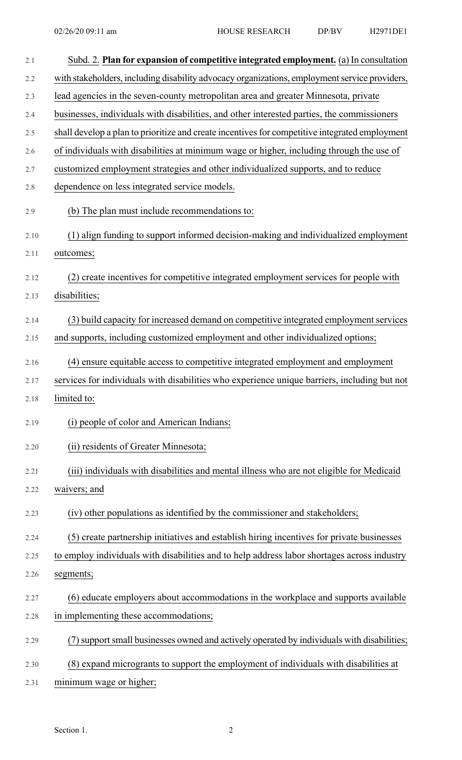| 2.1  | Subd. 2. Plan for expansion of competitive integrated employment. (a) In consultation          |
|------|------------------------------------------------------------------------------------------------|
| 2.2  | with stakeholders, including disability advocacy organizations, employment service providers,  |
| 2.3  | lead agencies in the seven-county metropolitan area and greater Minnesota, private             |
| 2.4  | businesses, individuals with disabilities, and other interested parties, the commissioners     |
| 2.5  | shall develop a plan to prioritize and create incentives for competitive integrated employment |
| 2.6  | of individuals with disabilities at minimum wage or higher, including through the use of       |
| 2.7  | customized employment strategies and other individualized supports, and to reduce              |
| 2.8  | dependence on less integrated service models.                                                  |
| 2.9  | (b) The plan must include recommendations to:                                                  |
| 2.10 | (1) align funding to support informed decision-making and individualized employment            |
| 2.11 | outcomes;                                                                                      |
| 2.12 | (2) create incentives for competitive integrated employment services for people with           |
| 2.13 | disabilities;                                                                                  |
| 2.14 | (3) build capacity for increased demand on competitive integrated employment services          |
| 2.15 | and supports, including customized employment and other individualized options;                |
| 2.16 | (4) ensure equitable access to competitive integrated employment and employment                |
| 2.17 | services for individuals with disabilities who experience unique barriers, including but not   |
| 2.18 | limited to:                                                                                    |
| 2.19 | (i) people of color and American Indians;                                                      |
| 2.20 | (ii) residents of Greater Minnesota;                                                           |
| 2.21 | (iii) individuals with disabilities and mental illness who are not eligible for Medicaid       |
| 2.22 | waivers; and                                                                                   |
| 2.23 | (iv) other populations as identified by the commissioner and stakeholders;                     |
| 2.24 | (5) create partnership initiatives and establish hiring incentives for private businesses      |
| 2.25 | to employ individuals with disabilities and to help address labor shortages across industry    |
| 2.26 | segments;                                                                                      |
| 2.27 | (6) educate employers about accommodations in the workplace and supports available             |
| 2.28 | in implementing these accommodations;                                                          |
| 2.29 | (7) support small businesses owned and actively operated by individuals with disabilities;     |
| 2.30 | (8) expand microgrants to support the employment of individuals with disabilities at           |
| 2.31 | minimum wage or higher;                                                                        |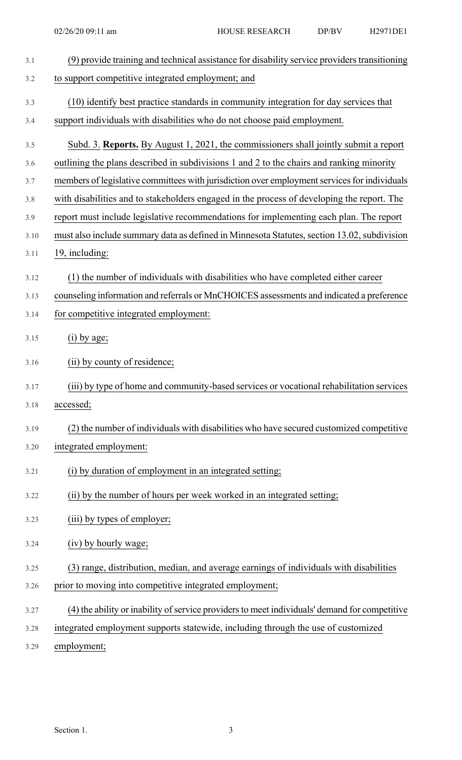| 3.1  | (9) provide training and technical assistance for disability service providers transitioning  |
|------|-----------------------------------------------------------------------------------------------|
| 3.2  | to support competitive integrated employment; and                                             |
| 3.3  | (10) identify best practice standards in community integration for day services that          |
| 3.4  | support individuals with disabilities who do not choose paid employment.                      |
| 3.5  | Subd. 3. Reports. By August 1, 2021, the commissioners shall jointly submit a report          |
| 3.6  | outlining the plans described in subdivisions 1 and 2 to the chairs and ranking minority      |
| 3.7  | members of legislative committees with jurisdiction over employment services for individuals  |
| 3.8  | with disabilities and to stakeholders engaged in the process of developing the report. The    |
| 3.9  | report must include legislative recommendations for implementing each plan. The report        |
| 3.10 | must also include summary data as defined in Minnesota Statutes, section 13.02, subdivision   |
| 3.11 | 19, including:                                                                                |
| 3.12 | (1) the number of individuals with disabilities who have completed either career              |
| 3.13 | counseling information and referrals or MnCHOICES assessments and indicated a preference      |
| 3.14 | for competitive integrated employment:                                                        |
| 3.15 | $(i)$ by age;                                                                                 |
|      |                                                                                               |
| 3.16 | (ii) by county of residence;                                                                  |
| 3.17 | (iii) by type of home and community-based services or vocational rehabilitation services      |
| 3.18 | accessed;                                                                                     |
| 3.19 | (2) the number of individuals with disabilities who have secured customized competitive       |
| 3.20 | integrated employment:                                                                        |
| 3.21 | (i) by duration of employment in an integrated setting;                                       |
| 3.22 | (ii) by the number of hours per week worked in an integrated setting;                         |
| 3.23 | (iii) by types of employer;                                                                   |
| 3.24 | (iv) by hourly wage;                                                                          |
| 3.25 | (3) range, distribution, median, and average earnings of individuals with disabilities        |
| 3.26 | prior to moving into competitive integrated employment;                                       |
| 3.27 | (4) the ability or inability of service providers to meet individuals' demand for competitive |

3.29 employment;